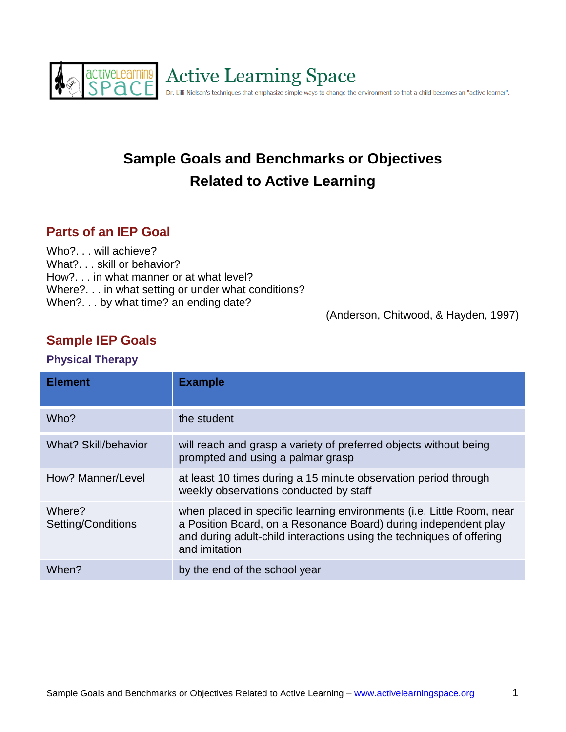

# **Sample Goals and Benchmarks or Objectives Related to Active Learning**

## **Parts of an IEP Goal**

Who?. . . will achieve? What?. . . skill or behavior? How?. . . in what manner or at what level? Where?. . . in what setting or under what conditions? When?. . . by what time? an ending date?

(Anderson, Chitwood, & Hayden, 1997)

## **Sample IEP Goals**

#### **Physical Therapy**

| <b>Element</b>               | <b>Example</b>                                                                                                                                                                                                                    |
|------------------------------|-----------------------------------------------------------------------------------------------------------------------------------------------------------------------------------------------------------------------------------|
| Who?                         | the student                                                                                                                                                                                                                       |
| <b>What? Skill/behavior</b>  | will reach and grasp a variety of preferred objects without being<br>prompted and using a palmar grasp                                                                                                                            |
| How? Manner/Level            | at least 10 times during a 15 minute observation period through<br>weekly observations conducted by staff                                                                                                                         |
| Where?<br>Setting/Conditions | when placed in specific learning environments (i.e. Little Room, near<br>a Position Board, on a Resonance Board) during independent play<br>and during adult-child interactions using the techniques of offering<br>and imitation |
| When?                        | by the end of the school year                                                                                                                                                                                                     |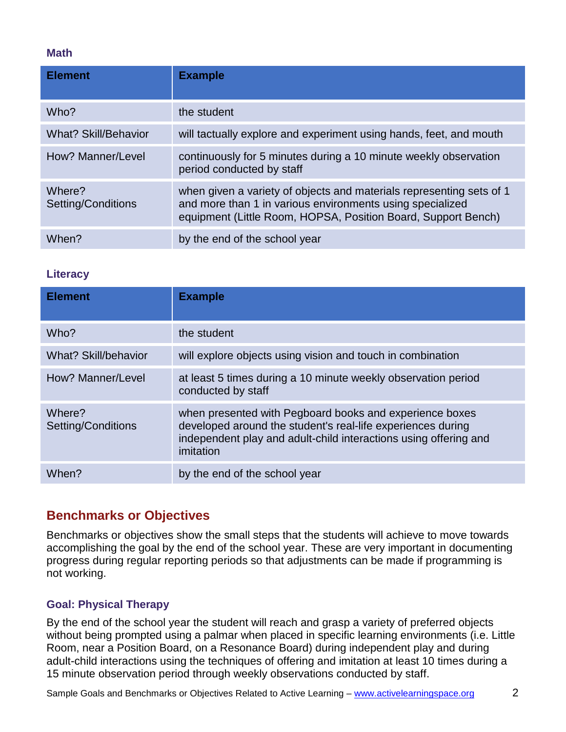#### **Math**

| <b>Element</b>               | <b>Example</b>                                                                                                                                                                                     |
|------------------------------|----------------------------------------------------------------------------------------------------------------------------------------------------------------------------------------------------|
| Who?                         | the student                                                                                                                                                                                        |
| <b>What? Skill/Behavior</b>  | will tactually explore and experiment using hands, feet, and mouth                                                                                                                                 |
| How? Manner/Level            | continuously for 5 minutes during a 10 minute weekly observation<br>period conducted by staff                                                                                                      |
| Where?<br>Setting/Conditions | when given a variety of objects and materials representing sets of 1<br>and more than 1 in various environments using specialized<br>equipment (Little Room, HOPSA, Position Board, Support Bench) |
| When?                        | by the end of the school year                                                                                                                                                                      |

#### **Literacy**

| <b>Element</b>               | <b>Example</b>                                                                                                                                                                                          |
|------------------------------|---------------------------------------------------------------------------------------------------------------------------------------------------------------------------------------------------------|
| Who?                         | the student                                                                                                                                                                                             |
| <b>What? Skill/behavior</b>  | will explore objects using vision and touch in combination                                                                                                                                              |
| How? Manner/Level            | at least 5 times during a 10 minute weekly observation period<br>conducted by staff                                                                                                                     |
| Where?<br>Setting/Conditions | when presented with Pegboard books and experience boxes<br>developed around the student's real-life experiences during<br>independent play and adult-child interactions using offering and<br>imitation |
| When?                        | by the end of the school year                                                                                                                                                                           |

### **Benchmarks or Objectives**

Benchmarks or objectives show the small steps that the students will achieve to move towards accomplishing the goal by the end of the school year. These are very important in documenting progress during regular reporting periods so that adjustments can be made if programming is not working.

#### **Goal: Physical Therapy**

By the end of the school year the student will reach and grasp a variety of preferred objects without being prompted using a palmar when placed in specific learning environments (i.e. Little Room, near a Position Board, on a Resonance Board) during independent play and during adult-child interactions using the techniques of offering and imitation at least 10 times during a 15 minute observation period through weekly observations conducted by staff.

Sample Goals and Benchmarks or Objectives Related to Active Learning – [www.activelearningspace.org](http://www.activelearningspace.org/) 2